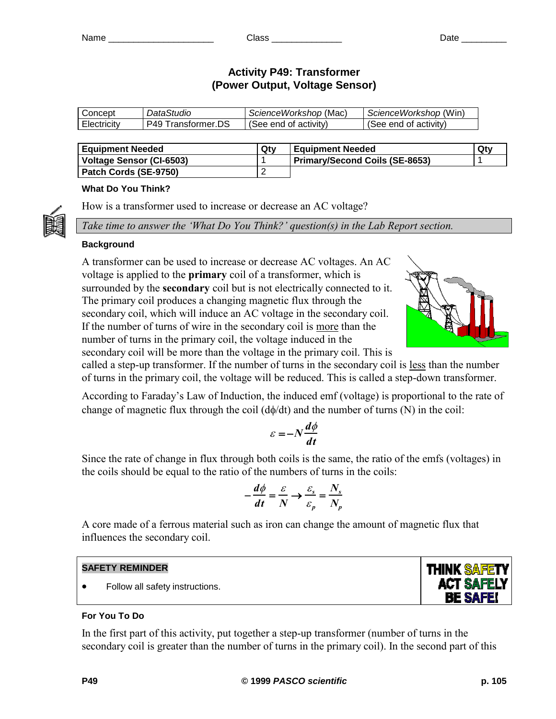# **Activity P49: Transformer (Power Output, Voltage Sensor)**

| onceptٽ     | <i>DataStudio</i>     | ScienceWorkshop (Mac) | ScienceWorkshop (Win) |
|-------------|-----------------------|-----------------------|-----------------------|
| Electricity | Transformer.DS<br>P40 | (See end of activitv) | See end of activity)  |

| <b>Equipment Needed</b>  | Qtv | <b>Equipment Needed</b>               | Qty |
|--------------------------|-----|---------------------------------------|-----|
| Voltage Sensor (CI-6503) |     | <b>Primary/Second Coils (SE-8653)</b> |     |
| Patch Cords (SE-9750)    |     |                                       |     |

# **What Do You Think?**

How is a transformer used to increase or decrease an AC voltage?

*Take time to answer the 'What Do You Think?' question(s) in the Lab Report section.*

# **Background**

A transformer can be used to increase or decrease AC voltages. An AC voltage is applied to the **primary** coil of a transformer, which is surrounded by the **secondary** coil but is not electrically connected to it. The primary coil produces a changing magnetic flux through the secondary coil, which will induce an AC voltage in the secondary coil. If the number of turns of wire in the secondary coil is more than the number of turns in the primary coil, the voltage induced in the secondary coil will be more than the voltage in the primary coil. This is



called a step-up transformer. If the number of turns in the secondary coil is less than the number of turns in the primary coil, the voltage will be reduced. This is called a step-down transformer.

According to Faraday's Law of Induction, the induced emf (voltage) is proportional to the rate of change of magnetic flux through the coil  $(d\phi/dt)$  and the number of turns (N) in the coil:

$$
\varepsilon = -N \frac{d\phi}{dt}
$$

Since the rate of change in flux through both coils is the same, the ratio of the emfs (voltages) in the coils should be equal to the ratio of the numbers of turns in the coils:

$$
-\frac{d\phi}{dt} = \frac{\varepsilon}{N} \to \frac{\varepsilon_s}{\varepsilon_p} = \frac{N_s}{N_p}
$$

A core made of a ferrous material such as iron can change the amount of magnetic flux that influences the secondary coil.

# **SAFETY REMINDER**

• Follow all safety instructions.

# **THINK SAFET ACT SAFELY BE SAFE!**

# **For You To Do**

In the first part of this activity, put together a step-up transformer (number of turns in the secondary coil is greater than the number of turns in the primary coil). In the second part of this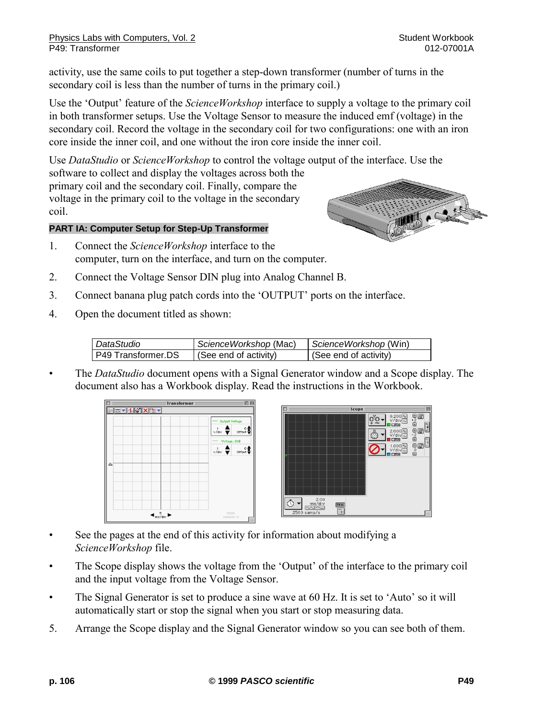activity, use the same coils to put together a step-down transformer (number of turns in the secondary coil is less than the number of turns in the primary coil.)

Use the 'Output' feature of the *ScienceWorkshop* interface to supply a voltage to the primary coil in both transformer setups. Use the Voltage Sensor to measure the induced emf (voltage) in the secondary coil. Record the voltage in the secondary coil for two configurations: one with an iron core inside the inner coil, and one without the iron core inside the inner coil.

Use *DataStudio* or *ScienceWorkshop* to control the voltage output of the interface. Use the software to collect and display the voltages across both the primary coil and the secondary coil. Finally, compare the voltage in the primary coil to the voltage in the secondary coil.

# **PART IA: Computer Setup for Step-Up Transformer**

- 1. Connect the *ScienceWorkshop* interface to the computer, turn on the interface, and turn on the computer.
- 2. Connect the Voltage Sensor DIN plug into Analog Channel B.
- 3. Connect banana plug patch cords into the 'OUTPUT' ports on the interface.
- 4. Open the document titled as shown:

| DataStudio         | ScienceWorkshop (Mac) | ScienceWorkshop (Win) |
|--------------------|-----------------------|-----------------------|
| P49 Transformer.DS | (See end of activity) | (See end of activity) |

• The *DataStudio* document opens with a Signal Generator window and a Scope display. The document also has a Workbook display. Read the instructions in the Workbook.





- See the pages at the end of this activity for information about modifying a *ScienceWorkshop* file.
- The Scope display shows the voltage from the 'Output' of the interface to the primary coil and the input voltage from the Voltage Sensor.
- The Signal Generator is set to produce a sine wave at 60 Hz. It is set to 'Auto' so it will automatically start or stop the signal when you start or stop measuring data.
- 5. Arrange the Scope display and the Signal Generator window so you can see both of them.

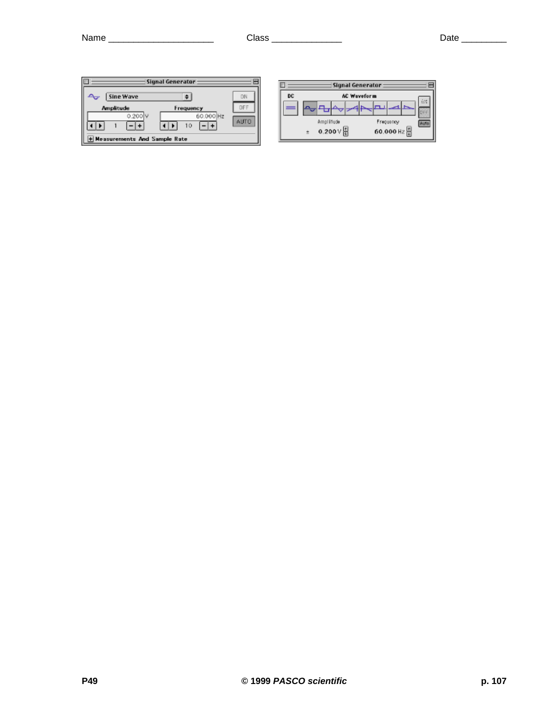| $\Box$<br>Signal Generator                                                  |                                |    | Signal Generator                                                                                                                                                                                                                          |  |
|-----------------------------------------------------------------------------|--------------------------------|----|-------------------------------------------------------------------------------------------------------------------------------------------------------------------------------------------------------------------------------------------|--|
| Sine Wave<br>$\sim$<br>Amplitude<br>Frequency<br>0.200 V<br>60.000 Hz<br>10 | DN<br><b>DF</b><br><b>AUTO</b> | DC | <b>AC Waveform</b><br>$\mathbb{H}^{\mathbb{Z}_2}_{\mathrm{loc}}$<br>$\mathbb{E}[\mathbb{D}_{\mathbb{Q}_2}]\mathbb{E}[\mathbb{D}_{\mathbb{Q}_2}]$<br>الكتا<br><b><i><u>Section International</u></i></b><br>Amplifude<br>Frequency<br>Auto |  |
| + Measurements And Sample Rate                                              |                                |    | 60.000 Hz<br>0.200 V H                                                                                                                                                                                                                    |  |

|    | Signal Generator   |                            |  |  |  |  |           |  |  |
|----|--------------------|----------------------------|--|--|--|--|-----------|--|--|
| DC | <b>AC Waveform</b> |                            |  |  |  |  |           |  |  |
|    |                    |                            |  |  |  |  |           |  |  |
|    |                    | Amplifude                  |  |  |  |  | Frequency |  |  |
|    |                    | $0.200 \vee \frac{15}{10}$ |  |  |  |  | 60.000 Hz |  |  |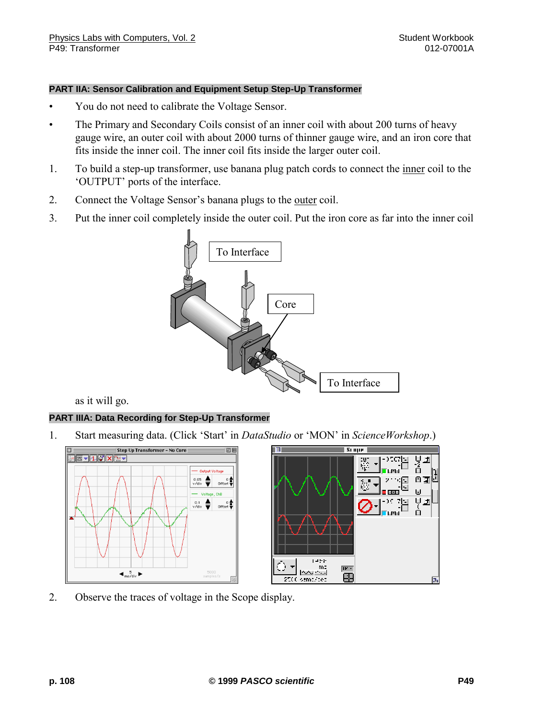#### **PART IIA: Sensor Calibration and Equipment Setup Step-Up Transformer**

- You do not need to calibrate the Voltage Sensor.
- The Primary and Secondary Coils consist of an inner coil with about 200 turns of heavy gauge wire, an outer coil with about 2000 turns of thinner gauge wire, and an iron core that fits inside the inner coil. The inner coil fits inside the larger outer coil.
- 1. To build a step-up transformer, use banana plug patch cords to connect the inner coil to the 'OUTPUT' ports of the interface.
- 2. Connect the Voltage Sensor's banana plugs to the outer coil.
- 3. Put the inner coil completely inside the outer coil. Put the iron core as far into the inner coil



as it will go.

#### **PART IIIA: Data Recording for Step-Up Transformer**

1. Start measuring data. (Click 'Start' in *DataStudio* or 'MON' in *ScienceWorkshop*.)



2. Observe the traces of voltage in the Scope display.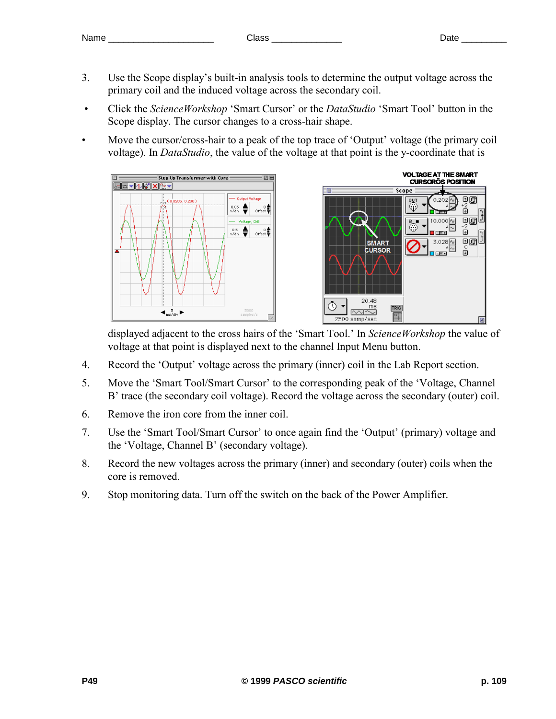- 3. Use the Scope display's built-in analysis tools to determine the output voltage across the primary coil and the induced voltage across the secondary coil.
- Click the *ScienceWorkshop* 'Smart Cursor' or the *DataStudio* 'Smart Tool' button in the Scope display. The cursor changes to a cross-hair shape.
- Move the cursor/cross-hair to a peak of the top trace of 'Output' voltage (the primary coil voltage). In *DataStudio*, the value of the voltage at that point is the y-coordinate that is





displayed adjacent to the cross hairs of the 'Smart Tool.' In *ScienceWorkshop* the value of voltage at that point is displayed next to the channel Input Menu button.

- 4. Record the 'Output' voltage across the primary (inner) coil in the Lab Report section.
- 5. Move the 'Smart Tool/Smart Cursor' to the corresponding peak of the 'Voltage, Channel B' trace (the secondary coil voltage). Record the voltage across the secondary (outer) coil.
- 6. Remove the iron core from the inner coil.
- 7. Use the 'Smart Tool/Smart Cursor' to once again find the 'Output' (primary) voltage and the 'Voltage, Channel B' (secondary voltage).
- 8. Record the new voltages across the primary (inner) and secondary (outer) coils when the core is removed.
- 9. Stop monitoring data. Turn off the switch on the back of the Power Amplifier.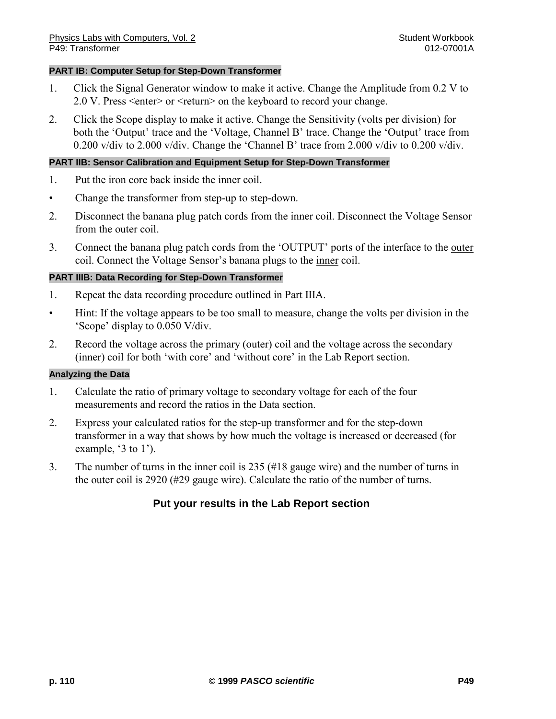#### **PART IB: Computer Setup for Step-Down Transformer**

- 1. Click the Signal Generator window to make it active. Change the Amplitude from 0.2 V to 2.0 V. Press <enter> or <return> on the keyboard to record your change.
- 2. Click the Scope display to make it active. Change the Sensitivity (volts per division) for both the 'Output' trace and the 'Voltage, Channel B' trace. Change the 'Output' trace from 0.200 v/div to 2.000 v/div. Change the 'Channel B' trace from 2.000 v/div to 0.200 v/div.

#### **PART IIB: Sensor Calibration and Equipment Setup for Step-Down Transformer**

- 1. Put the iron core back inside the inner coil.
- Change the transformer from step-up to step-down.
- 2. Disconnect the banana plug patch cords from the inner coil. Disconnect the Voltage Sensor from the outer coil.
- 3. Connect the banana plug patch cords from the 'OUTPUT' ports of the interface to the outer coil. Connect the Voltage Sensor's banana plugs to the inner coil.

#### **PART IIIB: Data Recording for Step-Down Transformer**

- 1. Repeat the data recording procedure outlined in Part IIIA.
- Hint: If the voltage appears to be too small to measure, change the volts per division in the 'Scope' display to 0.050 V/div.
- 2. Record the voltage across the primary (outer) coil and the voltage across the secondary (inner) coil for both 'with core' and 'without core' in the Lab Report section.

#### **Analyzing the Data**

- 1. Calculate the ratio of primary voltage to secondary voltage for each of the four measurements and record the ratios in the Data section.
- 2. Express your calculated ratios for the step-up transformer and for the step-down transformer in a way that shows by how much the voltage is increased or decreased (for example, '3 to 1').
- 3. The number of turns in the inner coil is 235 (#18 gauge wire) and the number of turns in the outer coil is 2920 (#29 gauge wire). Calculate the ratio of the number of turns.

# **Put your results in the Lab Report section**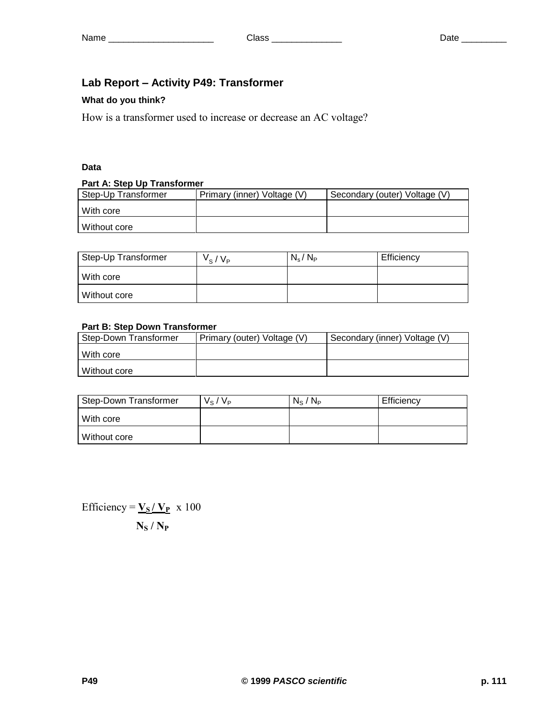# **Lab Report – Activity P49: Transformer**

#### **What do you think?**

How is a transformer used to increase or decrease an AC voltage?

# **Data**

#### **Part A: Step Up Transformer**

| Step-Up Transformer | Primary (inner) Voltage (V) | Secondary (outer) Voltage (V) |  |  |  |  |  |
|---------------------|-----------------------------|-------------------------------|--|--|--|--|--|
| l With core         |                             |                               |  |  |  |  |  |
| Without core        |                             |                               |  |  |  |  |  |

| Step-Up Transformer | $V_{\rm s}/V_{\rm P}$ | $N_{\rm s}/N_{\rm P}$ | Efficiency |
|---------------------|-----------------------|-----------------------|------------|
| With core           |                       |                       |            |
| Without core        |                       |                       |            |

# **Part B: Step Down Transformer**

| Step-Down Transformer | Primary (outer) Voltage (V) | Secondary (inner) Voltage (V) |  |  |
|-----------------------|-----------------------------|-------------------------------|--|--|
| With core             |                             |                               |  |  |
| Without core          |                             |                               |  |  |

| Step-Down Transformer | $V_S/V_P$ | $N_{\rm S}$ / $N_{\rm P}$ | Efficiency |
|-----------------------|-----------|---------------------------|------------|
| With core             |           |                           |            |
| Without core          |           |                           |            |

Efficiency =  $\mathbf{V}_\mathbf{S} / \mathbf{V}_\mathbf{P}$  x 100 **N<sup>S</sup> / N<sup>P</sup>**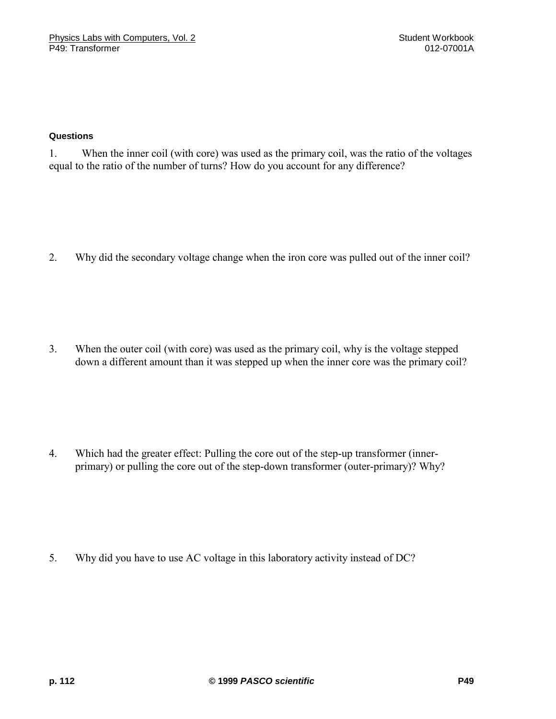#### **Questions**

1. When the inner coil (with core) was used as the primary coil, was the ratio of the voltages equal to the ratio of the number of turns? How do you account for any difference?

2. Why did the secondary voltage change when the iron core was pulled out of the inner coil?

3. When the outer coil (with core) was used as the primary coil, why is the voltage stepped down a different amount than it was stepped up when the inner core was the primary coil?

4. Which had the greater effect: Pulling the core out of the step-up transformer (innerprimary) or pulling the core out of the step-down transformer (outer-primary)? Why?

5. Why did you have to use AC voltage in this laboratory activity instead of DC?